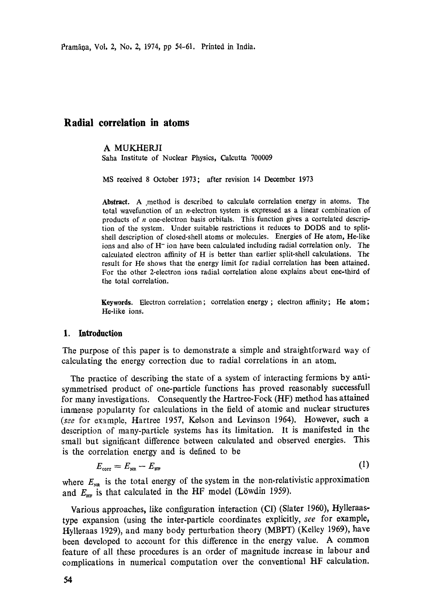Pramāna, Vol. 2, No. 2, 1974, pp 54-61. Printed in India.

# **Radial correlation in atoms**

#### A MUKHERJI

Saha Institute of Nuclear Physics, Calcutta 700009

MS received 8 October 1973; after revision 14 December 1973

Abstract. A method is described to calculate correlation energy in atoms. The total wavefunction of an n-electron system is expressed as a linear combination of products of n one-electron basis orbitals. This function gives a correlated description of the system. Under suitable restrictions it reduces to DODS and to splitshell description of closed-shell atoms or molecules. Energies of He atom, He-like ions and also of H- ion have been calculated including radial correlation only. The calculated electron affinity of H is better than earlier split-shell calculations. The result for He shows that the energy limit for radial correlation has been attained. For the other 2-electron ions radial correlation alone explains about one-third of the total correlation.

**Keywords.** Electron correlation ; correlation energy ; electron affinity; He atom ; He-like ions.

# **1. Introduction**

The purpose of this paper is to demonstrate a simple and straightforward way of calculating the energy correction due to radial correlations in an atom.

The practice of describing the state of a system of interacting fermions by antisymmetrised product of one-particle functions has proved reasonably suecessfull for many investigations. Consequently the Hartree-Fock (HF) method has attained immense popularity for calculations in the field of atomic and nuclear structures (see for example, Hartree 1957, Kelson and Levinson 1964). However, such a description of many-particle systems has its limitation. It is manifested in the small but significant difference between calculated and observed energies. This is the correlation energy and is defined to be

$$
E_{\text{corr}} = E_{\text{NR}} - E_{\text{HR}} \tag{1}
$$

where  $E_{\text{NS}}$  is the total energy of the system in the non-relativistic approximation and  $E_{\text{HF}}$  is that calculated in the HF model (Löwdin 1959).

Various approaches, like configuration interaction (CI) (Slater 1960), Hylleraastype expansion (using the inter-particle coordinates explicitly, *see* for example, Hylleraas 1929), and many body perturbation theory (MBPT) (Kelley 1969), have been developed to account for this difference in the energy value. A common feature of all these procedures is an order of magnitude increase in labour and complications in numerical computation over the conventional HF calculation.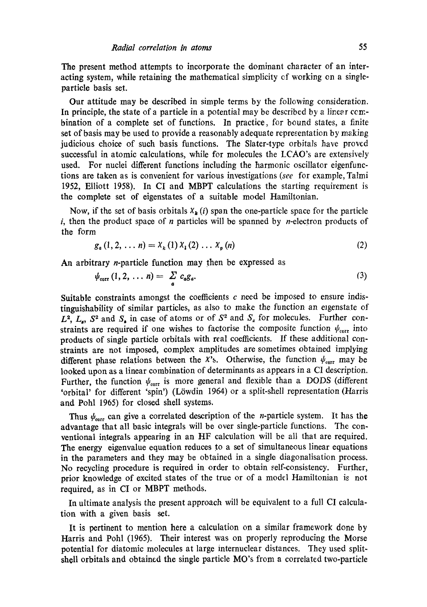Tho present method attempts to incorporate the dominant character of an interacting system, while retaining the mathematical simplicity of working on a singleparticle basis set.

Our attitude may be described in simple terms by the following consideration. In principle, the state of a particle in a potential may be described by a linear combination of a complete set of functions. In practice, for bound states, a finite set of basis may be used to provide a reasonably adequate representation by making judicious choice of such basis functions. The Slater-type orbitals have proved successful in atomic calculations, while for molecules the LCAO's are extensively used. For nuclei different functions including the harmonic oscillator eigenfunctions are taken as is convenient for various investigations *(see* for example, Talmi 1952, Elliott 1958). In CI and MBPT calculations the starting requirement is the complete set of eigenstates of a suitable model Hamiltonian.

Now, if the set of basis orbitals  $X_k(i)$  span the one-particle space for the particle i, then the product space of n particles will be spanned by n-electron products of the form

$$
g_a(1, 2, \dots n) = X_k(1) X_1(2) \dots X_p(n)
$$
 (2)

An arbitrary n-particle function may then be expressed as

$$
\psi_{\text{corr}}(1,2,\ldots n)=\sum_{a}c_{a}g_{a}.
$$
\n(3)

Suitable constraints amongst the coefficients  $c$  need be imposed to ensure indistinguishability of similar particles, as also to make the function an elgenstate of  $L^2$ ,  $L_s$ ,  $S^2$  and  $S_s$  in case of atoms or of  $S^2$  and  $S_s$  for molecules. Further constraints are required if one wishes to factorise the composite function  $\psi_{\text{corr}}$  into products of single particle orbitals with real coefficients. If these additional constraints are not imposed, Complex amplitudes are sometimes obtained implying different phase relations between the  $x$ 's. Otherwise, the function  $\psi_{corr}$  may be looked upon as a linear combination of determinants as appears in a CI description. Further, the function  $\psi_{\text{corr}}$  is more general and flexible than a DODS (different 'orbital' for different 'spin') (Löwdin 1964) or a split-shell representation (Harris and Pohl 1965) for closed shell systems.

Thus  $\psi_{\text{corr}}$  can give a correlated description of the *n*-particle system. It has the advantage that all basic integrals will be over single-particle functions. The conventional integrals appearing in an HF calculation will be all that are required. The energy eigenvalue equation reduces to a set of simultaneous linear equations in the parameters and they may be obtained in a single diagonalisation process. No recycling procedure is required in order to obtain self-consistency. Further, prior knowledge of excited states of the true or of a modal Hamiltonian is not required, as in CI or MBPT methods.

In ultimate analysis the present approach will be equivalent to a full CI calculation with a given basis set.

It is pertinent to mention here a calculation on a similar framework done by Harris and Pohl (1965). Their interest was on properly reproducing the Morse potential for diatomic molecules at large internuclear distances. They used splitshell orbitals and obtained the single particle MO's from a correlated two-particle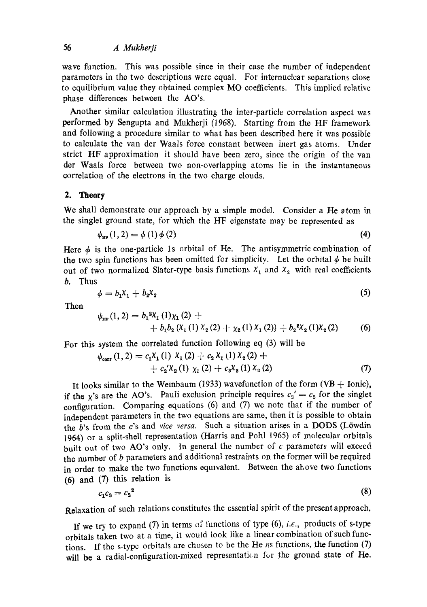#### 56 *A Mukherfi*

wave function. This was possible since in their case the number of independent parameters in the two descriptions were equal. For internuclear separations close to equilibrium value they obtained complex MO coefficients. This implied relative phase differences between the AO's.

Another similar calculation illustrating the inter-particle correlation aspect was performed by Sengupta and Mukherji (1968). Starting from the HF framework and following a procedure similar to what has been described here it was possible to calculate the van der Waals force constant between inert gas atoms. Under strict HF approximation it should have been zero, since the origin of the van der Waals force between two non-overlapping atoms lie in the instantaneous correlation of the electrons in the two charge clouds.

# 2. Theory

We shall demonstrate our approach by a simple model. Consider a He atom in the singlet ground state, for which the HF eigenstate may be represented as

$$
\psi_{\text{HF}}(1,2) = \phi(1)\phi(2) \tag{4}
$$

Here  $\phi$  is the one-particle 1s orbital of He. The antisymmetric combination of the two spin functions has been omitted for simplicity. Let the orbital  $\phi$  be built out of two normalized Slater-type basis functions  $X_1$  and  $X_2$  with real coefficients b. Thus

$$
\phi = b_1 \mathbf{X}_1 + b_2 \mathbf{X}_2 \tag{5}
$$

Then

$$
\psi_{\text{HF}}(1,2) = b_1^2 X_1(1) \chi_1(2) ++ b_1 b_2 \left\{ X_1(1) X_2(2) + \chi_2(1) X_1(2) \right\} + b_2^2 X_2(1) X_2(2) \tag{6}
$$

For this system the correlated function following eq (3) will be

$$
\psi_{\text{corr}}(1,2) = c_1 X_1(1) X_1(2) + c_2 X_1(1) X_2(2) ++ c_2' X_2(1) X_1(2) + c_3 X_2(1) X_2(2)
$$
\n(7)

It looks similar to the Weinbaum (1933) wavefunction of the form (VB  $+$  Ionic), if the x's are the AO's. Pauli exclusion principle requires  $c_2' = c_2$  for the singlet configuration. Comparing equations (6) and (7) we note that if the number of independent parameters in the two equations are same, then it is possible to obtain the  $b$ 's from the c's and *vice versa*. Such a situation arises in a DODS (Löwdin 1964) or a split-shell representation (Harris and Pohl 1965) of molecular orbitals built out of two AO's only. In general the number of c parameters will exceed the number of  $b$  parameters and additional restraints on the former will be required in order to make the two functions equivalent. Between the above two functions (6) and (7) this relation is

$$
c_1c_3=c_2^2\tag{8}
$$

Relaxation of such relations constitutes the essential spirit of the present approach.

If we try to expand (7) in terms of functions of type (6), *i.e.,* products of s-type orbitals taken two at a time, it would look like a linear combination of such functions. If the s-type orbitals are chosen to be the He  $ns$  functions, the function  $(7)$ will be a radial-configuration-mixed representation for the ground state of He.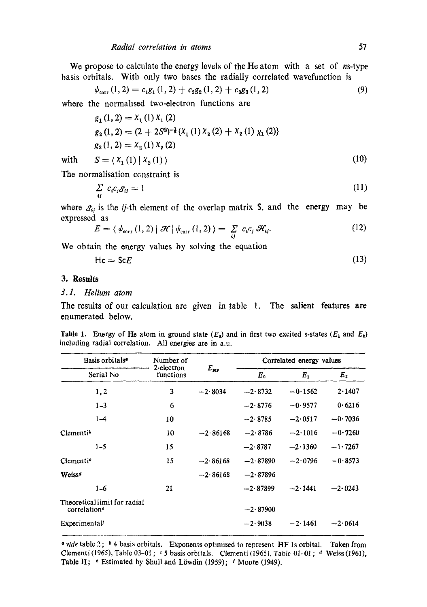$$
\psi_{\text{corr}}(1,2) = c_1 g_1(1,2) + c_2 g_2(1,2) + c_3 g_3(1,2) \tag{9}
$$

where the normalised two-electron functions are

$$
g_1(1, 2) = X_1(1) X_1(2)
$$
  
\n
$$
g_2(1, 2) = (2 + 2S^2)^{-\frac{1}{4}} \{X_1(1) X_2(2) + X_2(1) X_1(2)\}
$$
  
\n
$$
g_3(1, 2) = X_2(1) X_2(2)
$$
  
\n
$$
S = \langle X_1(1) | X_1(1) \rangle
$$
 (10)

with 
$$
S = \langle X_1(1) | X_2(1) \rangle
$$
 (10)

The normalisation constraint is

$$
\sum_{ij} c_i c_j \delta_{ij} = 1 \tag{11}
$$

where  $S_{ij}$  is the *ij*-th element of the overlap matrix S, and the energy may be expressed as

$$
E = \langle \psi_{\text{corr}}(1,2) | \mathcal{H} | \psi_{\text{corr}}(1,2) \rangle = \sum_{ij} c_i c_j \mathcal{H}_{ij}.
$$
 (12)

We obtain the energy values by solving the equation

$$
Hc = ScE \tag{13}
$$

# **3. Results**

# *3.1. Helium atom*

The results of our calculation are given in table 1. The salient features are enumerated below.

| Table 1. Energy of He atom in ground state $(E_0)$ and in first two excited s-states $(E_1$ and $E_2)$ |  |  |  |  |  |  |  |
|--------------------------------------------------------------------------------------------------------|--|--|--|--|--|--|--|
| including radial correlation. All energies are in a.u.                                                 |  |  |  |  |  |  |  |

| Basis orbitals <sup>®</sup>                              | Number of               |                 |            | Correlated energy values |           |
|----------------------------------------------------------|-------------------------|-----------------|------------|--------------------------|-----------|
| Serial No                                                | 2-electron<br>functions | $E_{\text{RF}}$ | $E_0$      | $E_1$                    | $E_{2}$   |
| 1,2                                                      | 3                       | $-2.8034$       | $-2.8732$  | $-0.1562$                | 2.1407    |
| $1 - 3$                                                  | 6                       |                 | $-2.8776$  | $-0.9577$                | 0.6216    |
| $1 - 4$                                                  | 10                      |                 | $-2.8785$  | $-2.0517$                | $-0.7036$ |
| $C$ lementi <sup><math>\delta</math></sup>               | 10                      | $-2.86168$      | $-2.8786$  | $-2.1016$                | $-0.7260$ |
| $1 - 5$                                                  | 15                      |                 | $-2.8787$  | $-2.1360$                | $-1.7267$ |
| Clementi <sup>o</sup>                                    | 15                      | $-2.86168$      | $-2.87890$ | $-2.0796$                | $-0.8573$ |
| Weiss <sup>d</sup>                                       |                         | $-2.86168$      | $-2.87896$ |                          |           |
| $1 - 6$                                                  | 21                      |                 | $-2.87899$ | $-2.1441$                | $-2.0243$ |
| Theoretical limit for radial<br>correlation <sup>e</sup> |                         |                 | $-2.87900$ |                          |           |
| Experimental                                             |                         |                 | $-2.9038$  | $-2.1461$                | $-2.0614$ |

a vide table 2;  $\delta$  4 basis orbitals. Exponents optimised to represent HF 1s orbital. Taken from Clementi (1965), Table 03-01;  $\epsilon$  5 basis orbitals. Clementi (1965), Table 01-01;  $\epsilon$  Weiss (1961), Table II; <sup>e</sup> Estimated by Shull and Löwdin (1959); *f* Moore (1949).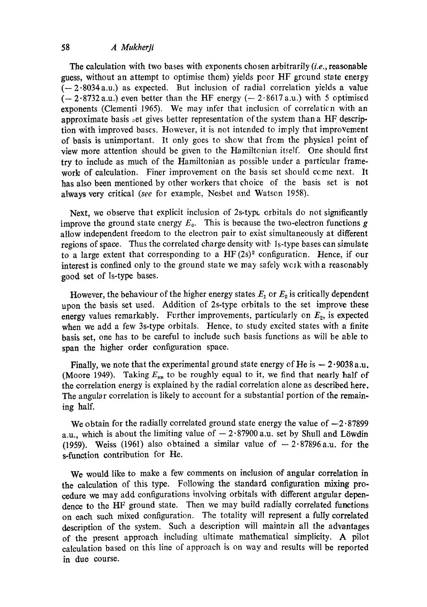# 58 *A Mukherji*

The calculation with two bases with exponents chosen arbitrarily *(i.e.,* reasonable guess, without an attempt to optimise them) yields poor HF ground state energy  $(-2.8034a.u.)$  as expected. But inclusion of radial correlation yields a value  $(-2.8732 \text{ a.u.})$  even better than the HF energy  $(-2.8617 \text{ a.u.})$  with 5 optimised exponents (Clementi 1965). We may infer that inclusion of correlation with an approximate basis set gives better representation of the system than a HF description with improved bases. However, it is not intended to imply that improvement of basis is unimportant. It only goes to show that from the physical point of view more attention should be given to the Hamiltonian itself. One should first try to include as much of the Hamiltonian as possible under a particular framework of calculation. Finer improvement on the basis set should come next. It has also been mentioned by other workers that choice of the basis set is not always very critical *(see* for example, Nesbet and Watson 1958).

Next, we observe that explicit inclusion of 2s-type crbitals do not significantly improve the ground state energy  $E_0$ . This is because the two-electron functions g allow independent freedom to the electron pair to exist simultaneously at different regions of space. Thus the correlated charge density with 1s-type bases can simulate to a large extent that corresponding to a  $HF(2s)^2$  configuration. Hence, if our interest is confined only to the ground state we may safely wclk with a reasonably good set of Is-type bases.

However, the behaviour of the higher energy states  $E_1$  or  $E_2$  is critically dependent upon the basis set used. Addition of 2s-type orbitals to the set improve these energy values remarkably. Further improvements, particularly on  $E<sub>2</sub>$ , is expected when we add a few 3s-type orbitals. Hence, to study excited states with a finite basis set, one has to be careful to include such basis functions as will be able to span the higher order configuration space.

Finally, we note that the experimental ground state energy of He is  $-2.9038$  a.u. (Moore 1949). Taking  $E_{\text{NR}}$  to be roughly equal to it, we find that nearly half of the correlation energy is explained by the radial correlation alone as described here. The angular correlation is likely to account for a substantial portion of the remaining half.

We obtain for the radially correlated ground state energy the value of  $-2.87899$ a.u., which is about the limiting value of  $-2.87900$  a.u. set by Shull and Löwdin (1959). Weiss (1961) also obtained a similar value of  $-2.87896$  a.u. for the s-function contribution for He.

We would like to make a few comments on inclusion of angular correlation in the calculation of this type. Following the standard configuration mixing procedure we may add configurations involving orbitals with different angular dependence to the HF ground state. Then we may build radially correlated functions on each such mixed configuration. The totality will represent a fully correlated description of the system. Such a description will maintain all the advantages of the present approach including ultimate mathematical simplicity. A pilot calculation based on this line of approach is on way and results will be reported in due course.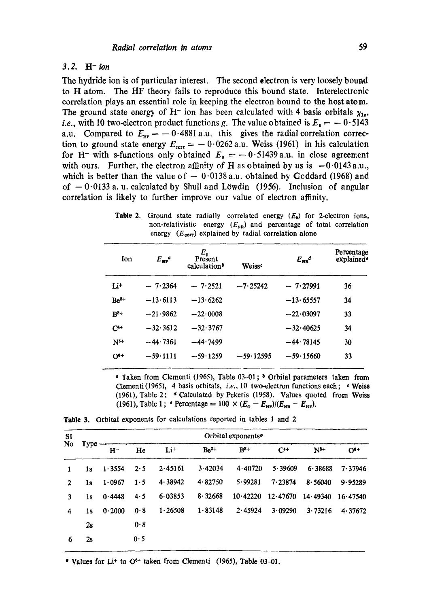### *3.2. H-ion*

The hydride ion is of particular interest. The second dectron is very loosely bound to H atom. The HF theory fails to reproduce this bound state. Interelectronic correlation plays an essential role in keeping the electron bound to the host atom. The ground state energy of H<sup>-</sup> ion has been calculated with 4 basis orbitals  $\chi_{1t}$ , *i.e.*, with 10 two-electron product functions g. The value obtained is  $E_0 = -0.5143$ a.u. Compared to  $E_{HF} = -0.4881$  a.u. this gives the radial correlation correction to ground state energy  $E_{\text{corr}} = -0.0262$  a.u. Weiss (1961) in his calculation for H<sup>-</sup> with s-functions only obtained  $E_0 = -0.51439$  a.u. in close agreement with ours. Further, the electron affinity of H as obtained by us is  $-0.0143$  a.u., which is better than the value of  $-0.0138$  a.u. obtained by Goddard (1968) and of  $-0.0133$  a. u. calculated by Shull and Löwdin (1956). Inclusion of angular correlation is likely to further improve our value of electron affinity.

Table 2. Ground state radially correlated energy  $(E_0)$  for 2-electron ions, non-relativistic energy  $(E_{NR})$  and percentage of total correlation energy  $(E_{corr})$  explained by radial correlation alone

| Ion             | $E_{\rm HF}^{\quad a}$ | $E_{0}$<br>Present<br>calculation <sup>b</sup> | Weisse      | $E_{\rm NP}^{\phantom{12}d}$ | Percentage<br>explained <sup>e</sup> |
|-----------------|------------------------|------------------------------------------------|-------------|------------------------------|--------------------------------------|
| Li+             | $-7.2364$              | $-7.2521$                                      | $-7.25242$  | $-7.27991$                   | 36                                   |
| $Be2+$          | $-13.6113$             | $-13.6262$                                     |             | $-13.65557$                  | 34                                   |
| $R^{3+}$        | $-21.9862$             | $-22.0008$                                     |             | $-22.03097$                  | 33                                   |
| $C^{4+}$        | $-32.3612$             | $-32.3767$                                     |             | $-32.40625$                  | 34                                   |
| N <sup>b+</sup> | $-44.7361$             | $-44.7499$                                     |             | $-44.78145$                  | 30                                   |
| $O^{3+}$        | $-59.1111$             | $-59.1259$                                     | $-59.12595$ | $-59.15660$                  | 33                                   |
|                 |                        |                                                |             |                              |                                      |

<sup>a</sup> Taken from Clementi (1965), Table 03-01; <sup>b</sup> Orbital parameters taken from Clementi (1965), 4 basis orbitals, *i.e.*, 10 two-electron functions each; c Weiss (1961), Table 2;  $d$  Calculated by Pekeris (1958). Values quoted from Weiss (1961), Table 1; \* Percentage =  $100 \times (E_0 - E_{HP})/(E_{HR} - E_{HP})$ .

**Table 3.**  Orbital exponents for calculations reported in tables 1 and 2

| SI |      |        |     |                 |         | Orbital exponents <sup>®</sup> |          |          |               |
|----|------|--------|-----|-----------------|---------|--------------------------------|----------|----------|---------------|
| No | Type | $H^-$  | He  | Li <sup>+</sup> | $Be2+$  | $R^{8+}$                       | $C4+$    | $N^{5+}$ | $\Omega_{q+}$ |
| 1  | 1s   | 1.3554 | 2.5 | 2.45161         | 3.42034 | 4.40720                        | 5.39609  | 6.38688  | 7.37946       |
| 2  | 1s   | 1.0967 | 1.5 | 4.38942         | 4.82750 | 5.99281                        | 7.23874  | 8.56040  | 9.95289       |
| 3  | 1s.  | 0.4448 | 4.5 | 6.03853         | 8.32668 | 10.42220                       | 12.47670 | 14.49340 | 16.47540      |
| 4  | 1s   | 0.2000 | 0.8 | 1.26508         | 1.83148 | 2.45924                        | 3.09290  | 3.73216  | 4.37672       |
|    | 2s   |        | 0.8 |                 |         |                                |          |          |               |
| 6  | 2s   |        | 0.5 |                 |         |                                |          |          |               |

" Values for Li<sup>+</sup> to  $O<sup>6+</sup>$  taken from Clementi (1965), Table 03-01.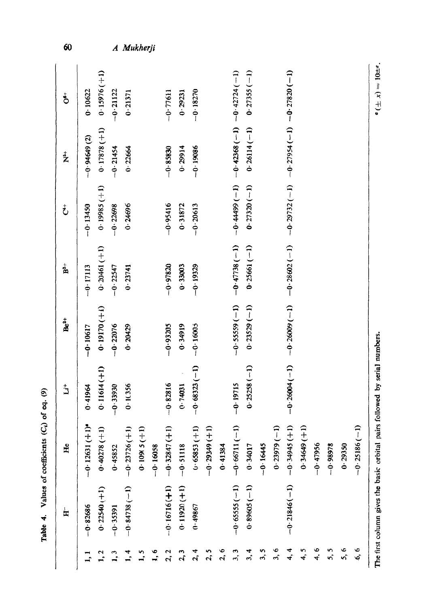|                             | 노              | H <sub>c</sub>              | ڐ              | $Be2+$                                                                                                  | $\mathbf{\hat{B}}^+$ | も             | $\mathbf{z}^{\dagger}$                       | $\stackrel{\scriptscriptstyle +}{\scriptscriptstyle \infty}$ |
|-----------------------------|----------------|-----------------------------|----------------|---------------------------------------------------------------------------------------------------------|----------------------|---------------|----------------------------------------------|--------------------------------------------------------------|
|                             | $-0.82686$     | $-0.12631 (+1)$             | 0.41964        | $-0.10617$                                                                                              | $-0.17113$           | $-0.13450$    | $-0.94649(2)$                                | 0.10622                                                      |
| 1, 2                        | $0.22540 (+1)$ | $0.40278(+1)$               | $0.11614(+1)$  | $0.19170 (+1)$                                                                                          | $0.20461 (+1)$       | 0.19985(11)   | $0.17878 (+1)$                               | $0.15976 (+1)$                                               |
| $\mathbf{1}$ , $\mathbf{3}$ | $-0.35391$     | 0.45852                     | $-0.39930$     | $-0.22076$                                                                                              | $-0.22547$           | $-0.22698$    | $-0.21454$                                   | $-0.21122$                                                   |
| 1, 4                        | $-0.84738(-1)$ | $-0.23726(+1)$              | 0.11356        | 0.20429                                                                                                 | 0.23741              | 0.24696       | 0.22664                                      | 0.21371                                                      |
| ر<br>1.                     |                | 0.109(5(1)                  |                |                                                                                                         |                      |               |                                              |                                                              |
| $\frac{6}{11}$              |                | $-0.16058$                  |                |                                                                                                         |                      |               |                                              |                                                              |
| 2, 2                        | $-0.16716(+1)$ | $-0.32847(+1)$              | $-0.82816$     | $-0.93205$                                                                                              | $-0.97820$           | $-0.95416$    | $-0.85830$                                   | $-0.77611$                                                   |
| 2,3                         | $0.11920 (+1)$ | $-0.51118$                  | 0.74031        | 0.34919                                                                                                 | 0.33003              | 0.31872       | 0.29914                                      | 0.29231                                                      |
| 2, 4                        | 0.49867        | $0.65853(+1)$               | $-0.68323(-1)$ | $-0.16005$                                                                                              | $-0.19329$           | $-0.20613$    | $-0.19086$                                   | $-0.18270$                                                   |
| 2,5                         |                | $-0.29349(1)$               |                |                                                                                                         |                      |               |                                              |                                                              |
| 2, 6                        |                | 0.41384                     |                |                                                                                                         |                      |               |                                              |                                                              |
| 3,3                         | $-0.65555(-1)$ | $-1$<br>$-0.66711$          | $-0.19715$     | $-0.55559(-1)$                                                                                          | $-0.47738(-1)$       |               | $-6.44399(-1)$ $-6.42368(-1)$ $-6.42724(-1)$ |                                                              |
| 3, 4                        | $0.89605(-1)$  | 0.34017                     | $0.25258(-1)$  | $0.23529(-1)$                                                                                           | $0.25661(-1)$        | $0.27320(-1)$ | $0.26114(-1)$                                | $0.27355(-1)$                                                |
| 3,5                         |                | $-0.16445$                  |                |                                                                                                         |                      |               |                                              |                                                              |
| 3, 6                        |                | $\widehat{1}$<br>0.23979    |                |                                                                                                         |                      |               |                                              |                                                              |
| 4, 4                        | $-0.21846(-1)$ | $\widehat{+}$<br>$-0.34945$ |                | (1-) 028.l2 ·0-1 (1-1) t56.l2 ·0-1 (1-1) Zt.l22 ·0-1 (1-1) Z0982 ·0-1 (1-1) A0092 ·0-1 (1-1) t0092 ·0-1 |                      |               |                                              |                                                              |
| 4,5                         |                | $\widehat{+}$<br>0.34649    |                |                                                                                                         |                      |               |                                              |                                                              |
| 4.6                         |                | $-0.47956$                  |                |                                                                                                         |                      |               |                                              |                                                              |
| n<br>n,                     |                | $-0.98978$                  |                |                                                                                                         |                      |               |                                              |                                                              |
| 5, 6                        |                | 0.29350                     |                |                                                                                                         |                      |               |                                              |                                                              |
| $\circ$<br><b>ي</b>         |                | $\widehat{1}$<br>$-0.25186$ |                |                                                                                                         |                      |               |                                              |                                                              |

 $60$ 

A Mukherji

 $\bullet(\pm x) = 10$ tte.

The first column gives the basic orbital pairs followed by serial numbers.  $\mathbf{e}^{\text{max}}$   $\mathbf{e}^{\text{max}}$   $\mathbf{e}^{\text{max}}$ . The first column gives the basic orbital pairs followed by serial numbers.